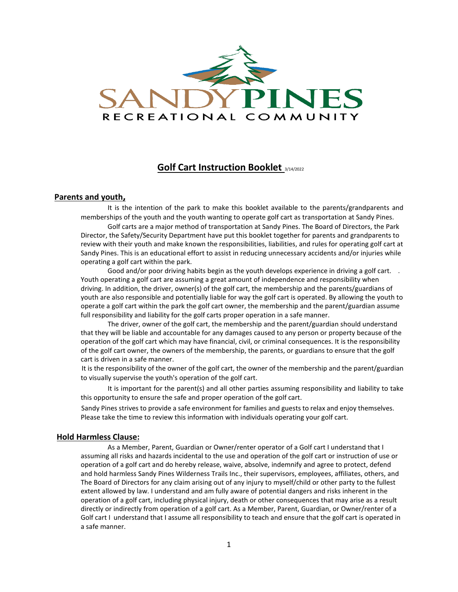

# **Golf Cart Instruction Booklet** 3/14/2022

# **Parents and youth,**

It is the intention of the park to make this booklet available to the parents/grandparents and memberships of the youth and the youth wanting to operate golf cart as transportation at Sandy Pines.

Golf carts are a major method of transportation at Sandy Pines. The Board of Directors, the Park Director, the Safety/Security Department have put this booklet together for parents and grandparents to review with their youth and make known the responsibilities, liabilities, and rules for operating golf cart at Sandy Pines. This is an educational effort to assist in reducing unnecessary accidents and/or injuries while operating a golf cart within the park.

Good and/or poor driving habits begin as the youth develops experience in driving a golf cart. . Youth operating a golf cart are assuming a great amount of independence and responsibility when driving. In addition, the driver, owner(s) of the golf cart, the membership and the parents/guardians of youth are also responsible and potentially liable for way the golf cart is operated. By allowing the youth to operate a golf cart within the park the golf cart owner, the membership and the parent/guardian assume full responsibility and liability for the golf carts proper operation in a safe manner.

The driver, owner of the golf cart, the membership and the parent/guardian should understand that they will be liable and accountable for any damages caused to any person or property because of the operation of the golf cart which may have financial, civil, or criminal consequences. It is the responsibility of the golf cart owner, the owners of the membership, the parents, or guardians to ensure that the golf cart is driven in a safe manner.

It is the responsibility of the owner of the golf cart, the owner of the membership and the parent/guardian to visually supervise the youth's operation of the golf cart.

It is important for the parent(s) and all other parties assuming responsibility and liability to take this opportunity to ensure the safe and proper operation of the golf cart.

Sandy Pines strives to provide a safe environment for families and guests to relax and enjoy themselves. Please take the time to review this information with individuals operating your golf cart.

### **Hold Harmless Clause:**

As a Member, Parent, Guardian or Owner/renter operator of a Golf cart I understand that I assuming all risks and hazards incidental to the use and operation of the golf cart or instruction of use or operation of a golf cart and do hereby release, waive, absolve, indemnify and agree to protect, defend and hold harmless Sandy Pines Wilderness Trails Inc., their supervisors, employees, affiliates, others, and The Board of Directors for any claim arising out of any injury to myself/child or other party to the fullest extent allowed by law. I understand and am fully aware of potential dangers and risks inherent in the operation of a golf cart, including physical injury, death or other consequences that may arise as a result directly or indirectly from operation of a golf cart. As a Member, Parent, Guardian, or Owner/renter of a Golf cart I understand that I assume all responsibility to teach and ensure that the golf cart is operated in a safe manner.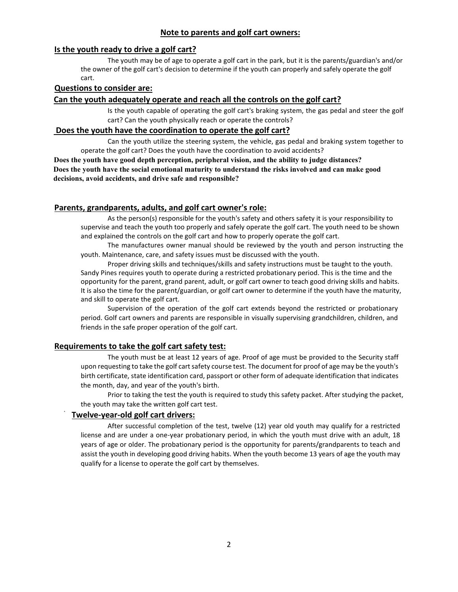# **Note to parents and golf cart owners:**

# **Is the youth ready to drive a golf cart?**

The youth may be of age to operate a golf cart in the park, but it is the parents/guardian's and/or the owner of the golf cart's decision to determine if the youth can properly and safely operate the golf cart.

# **Questions to consider are:**

# **Can the youth adequately operate and reach all the controls on the golf cart?**

Is the youth capable of operating the golf cart's braking system, the gas pedal and steer the golf cart? Can the youth physically reach or operate the controls?

# **Does the youth have the coordination to operate the golf cart?**

Can the youth utilize the steering system, the vehicle, gas pedal and braking system together to operate the golf cart? Does the youth have the coordination to avoid accidents?

**Does the youth have good depth perception, peripheral vision, and the ability to judge distances? Does the youth have the social emotional maturity to understand the risks involved and can make good decisions, avoid accidents, and drive safe and responsible?**

# **Parents, grandparents, adults, and golf cart owner's role:**

As the person(s) responsible for the youth's safety and others safety it is your responsibility to supervise and teach the youth too properly and safely operate the golf cart. The youth need to be shown and explained the controls on the golf cart and how to properly operate the golf cart.

The manufactures owner manual should be reviewed by the youth and person instructing the youth. Maintenance, care, and safety issues must be discussed with the youth.

Proper driving skills and techniques/skills and safety instructions must be taught to the youth. Sandy Pines requires youth to operate during a restricted probationary period. This is the time and the opportunity for the parent, grand parent, adult, or golf cart owner to teach good driving skills and habits. It is also the time for the parent/guardian, or golf cart owner to determine if the youth have the maturity, and skill to operate the golf cart.

Supervision of the operation of the golf cart extends beyond the restricted or probationary period. Golf cart owners and parents are responsible in visually supervising grandchildren, children, and friends in the safe proper operation of the golf cart.

# **Requirements to take the golf cart safety test:**

The youth must be at least 12 years of age. Proof of age must be provided to the Security staff upon requesting to take the golf cart safety course test. The document for proof of age may be the youth's birth certificate, state identification card, passport or other form of adequate identification that indicates the month, day, and year of the youth's birth.

Prior to taking the test the youth is required to study this safety packet. After studying the packet, the youth may take the written golf cart test.

# **Twelve-year-old golf cart drivers:**

After successful completion of the test, twelve (12) year old youth may qualify for a restricted license and are under a one-year probationary period, in which the youth must drive with an adult, 18 years of age or older. The probationary period is the opportunity for parents/grandparents to teach and assist the youth in developing good driving habits. When the youth become 13 years of age the youth may qualify for a license to operate the golf cart by themselves.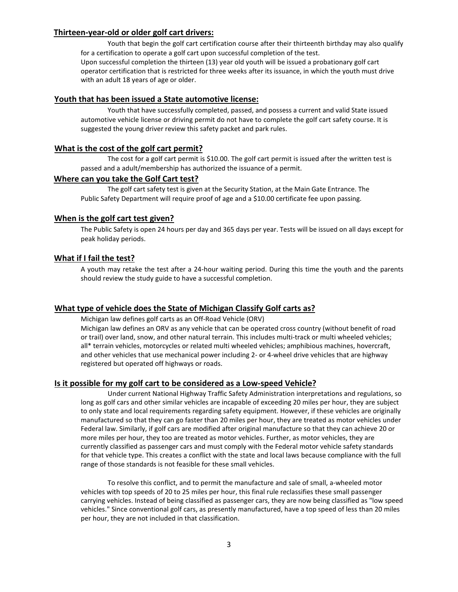# **Thirteen-year-old or older golf cart drivers:**

Youth that begin the golf cart certification course after their thirteenth birthday may also qualify for a certification to operate a golf cart upon successful completion of the test. Upon successful completion the thirteen (13) year old youth will be issued a probationary golf cart operator certification that is restricted for three weeks after its issuance, in which the youth must drive with an adult 18 years of age or older.

# **Youth that has been issued a State automotive license:**

Youth that have successfully completed, passed, and possess a current and valid State issued automotive vehicle license or driving permit do not have to complete the golf cart safety course. It is suggested the young driver review this safety packet and park rules.

# **What is the cost of the golf cart permit?**

The cost for a golf cart permit is \$10.00. The golf cart permit is issued after the written test is passed and a adult/membership has authorized the issuance of a permit.

# **Where can you take the Golf Cart test?**

The golf cart safety test is given at the Security Station, at the Main Gate Entrance. The Public Safety Department will require proof of age and a \$10.00 certificate fee upon passing.

# **When is the golf cart test given?**

The Public Safety is open 24 hours per day and 365 days per year. Tests will be issued on all days except for peak holiday periods.

# **What if I fail the test?**

A youth may retake the test after a 24-hour waiting period. During this time the youth and the parents should review the study guide to have a successful completion.

# **What type of vehicle does the State of Michigan Classify Golf carts as?**

Michigan law defines golf carts as an Off-Road Vehicle (ORV)

Michigan law defines an ORV as any vehicle that can be operated cross country (without benefit of road or trail) over land, snow, and other natural terrain. This includes multi-track or multi wheeled vehicles; all\* terrain vehicles, motorcycles or related multi wheeled vehicles; amphibious machines, hovercraft, and other vehicles that use mechanical power including 2- or 4-wheel drive vehicles that are highway registered but operated off highways or roads.

# **Is it possible for my golf cart to be considered as a Low-speed Vehicle?**

Under current National Highway Traffic Safety Administration interpretations and regulations, so long as golf cars and other similar vehicles are incapable of exceeding 20 miles per hour, they are subject to only state and local requirements regarding safety equipment. However, if these vehicles are originally manufactured so that they can go faster than 20 miles per hour, they are treated as motor vehicles under Federal law. Similarly, if golf cars are modified after original manufacture so that they can achieve 20 or more miles per hour, they too are treated as motor vehicles. Further, as motor vehicles, they are currently classified as passenger cars and must comply with the Federal motor vehicle safety standards for that vehicle type. This creates a conflict with the state and local laws because compliance with the full range of those standards is not feasible for these small vehicles.

To resolve this conflict, and to permit the manufacture and sale of small, a-wheeled motor vehicles with top speeds of 20 to 25 miles per hour, this final rule reclassifies these small passenger carrying vehicles. Instead of being classified as passenger cars, they are now being classified as "low speed vehicles." Since conventional golf cars, as presently manufactured, have a top speed of less than 20 miles per hour, they are not included in that classification.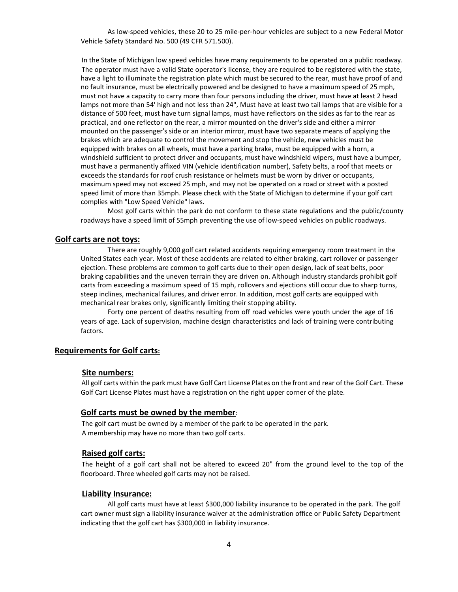As low-speed vehicles, these 20 to 25 mile-per-hour vehicles are subject to a new Federal Motor Vehicle Safety Standard No. 500 (49 CFR 571.500).

In the State of Michigan low speed vehicles have many requirements to be operated on a public roadway. The operator must have a valid State operator's license, they are required to be registered with the state, have a light to illuminate the registration plate which must be secured to the rear, must have proof of and no fault insurance, must be electrically powered and be designed to have a maximum speed of 25 mph, must not have a capacity to carry more than four persons including the driver, must have at least 2 head lamps not more than 54' high and not less than 24", Must have at least two tail lamps that are visible for a distance of 500 feet, must have turn signal lamps, must have reflectors on the sides as far to the rear as practical, and one reflector on the rear, a mirror mounted on the driver's side and either a mirror mounted on the passenger's side or an interior mirror, must have two separate means of applying the brakes which are adequate to control the movement and stop the vehicle, new vehicles must be equipped with brakes on all wheels, must have a parking brake, must be equipped with a horn, a windshield sufficient to protect driver and occupants, must have windshield wipers, must have a bumper, must have a permanently affixed VIN (vehicle identification number), Safety belts, a roof that meets or exceeds the standards for roof crush resistance or helmets must be worn by driver or occupants, maximum speed may not exceed 25 mph, and may not be operated on a road or street with a posted speed limit of more than 35mph. Please check with the State of Michigan to determine if your golf cart complies with "Low Speed Vehicle" laws.

Most golf carts within the park do not conform to these state regulations and the public/county roadways have a speed limit of 55mph preventing the use of low-speed vehicles on public roadways.

# **Golf carts are not toys:**

There are roughly 9,000 golf cart related accidents requiring emergency room treatment in the United States each year. Most of these accidents are related to either braking, cart rollover or passenger ejection. These problems are common to golf carts due to their open design, lack of seat belts, poor braking capabilities and the uneven terrain they are driven on. Although industry standards prohibit golf carts from exceeding a maximum speed of 15 mph, rollovers and ejections still occur due to sharp turns, steep inclines, mechanical failures, and driver error. In addition, most golf carts are equipped with mechanical rear brakes only, significantly limiting their stopping ability.

Forty one percent of deaths resulting from off road vehicles were youth under the age of 16 years of age. Lack of supervision, machine design characteristics and lack of training were contributing factors.

# **Requirements for Golf carts:**

#### **Site numbers:**

All golf carts within the park must have Golf Cart License Plates on the front and rear of the Golf Cart. These Golf Cart License Plates must have a registration on the right upper corner of the plate.

### **Golf carts must be owned by the member**:

The golf cart must be owned by a member of the park to be operated in the park. A membership may have no more than two golf carts.

### **Raised golf carts:**

The height of a golf cart shall not be altered to exceed 20" from the ground level to the top of the floorboard. Three wheeled golf carts may not be raised.

#### **Liability Insurance:**

All golf carts must have at least \$300,000 liability insurance to be operated in the park. The golf cart owner must sign a liability insurance waiver at the administration office or Public Safety Department indicating that the golf cart has \$300,000 in liability insurance.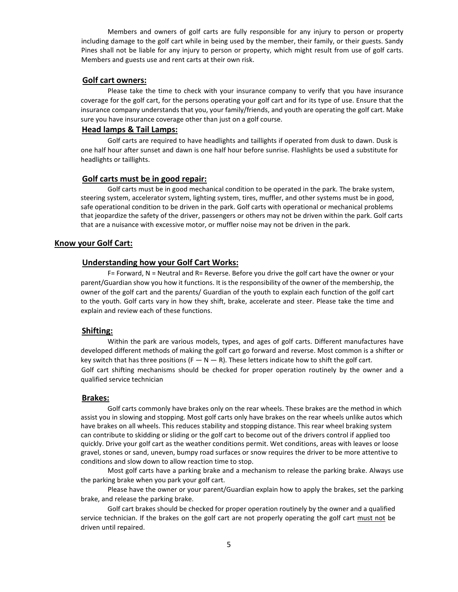Members and owners of golf carts are fully responsible for any injury to person or property including damage to the golf cart while in being used by the member, their family, or their guests. Sandy Pines shall not be liable for any injury to person or property, which might result from use of golf carts. Members and guests use and rent carts at their own risk.

#### **Golf cart owners:**

Please take the time to check with your insurance company to verify that you have insurance coverage for the golf cart, for the persons operating your golf cart and for its type of use. Ensure that the insurance company understands that you, your family/friends, and youth are operating the golf cart. Make sure you have insurance coverage other than just on a golf course.

# **Head lamps & Tail Lamps:**

Golf carts are required to have headlights and taillights if operated from dusk to dawn. Dusk is one half hour after sunset and dawn is one half hour before sunrise. Flashlights be used a substitute for headlights or taillights.

# **Golf carts must be in good repair:**

Golf carts must be in good mechanical condition to be operated in the park. The brake system, steering system, accelerator system, lighting system, tires, muffler, and other systems must be in good, safe operational condition to be driven in the park. Golf carts with operational or mechanical problems that jeopardize the safety of the driver, passengers or others may not be driven within the park. Golf carts that are a nuisance with excessive motor, or muffler noise may not be driven in the park.

# **Know your Golf Cart:**

# **Understanding how your Golf Cart Works:**

F= Forward, N = Neutral and R= Reverse. Before you drive the golf cart have the owner or your parent/Guardian show you how it functions. It is the responsibility of the owner of the membership, the owner of the golf cart and the parents/ Guardian of the youth to explain each function of the golf cart to the youth. Golf carts vary in how they shift, brake, accelerate and steer. Please take the time and explain and review each of these functions.

#### **Shifting:**

Within the park are various models, types, and ages of golf carts. Different manufactures have developed different methods of making the golf cart go forward and reverse. Most common is a shifter or key switch that has three positions ( $F - N - R$ ). These letters indicate how to shift the golf cart. Golf cart shifting mechanisms should be checked for proper operation routinely by the owner and a qualified service technician

### **Brakes:**

Golf carts commonly have brakes only on the rear wheels. These brakes are the method in which assist you in slowing and stopping. Most golf carts only have brakes on the rear wheels unlike autos which have brakes on all wheels. This reduces stability and stopping distance. This rear wheel braking system can contribute to skidding or sliding or the golf cart to become out of the drivers control if applied too quickly. Drive your golf cart as the weather conditions permit. Wet conditions, areas with leaves or loose gravel, stones or sand, uneven, bumpy road surfaces or snow requires the driver to be more attentive to conditions and slow down to allow reaction time to stop.

Most golf carts have a parking brake and a mechanism to release the parking brake. Always use the parking brake when you park your golf cart.

Please have the owner or your parent/Guardian explain how to apply the brakes, set the parking brake, and release the parking brake.

Golf cart brakes should be checked for proper operation routinely by the owner and a qualified service technician. If the brakes on the golf cart are not properly operating the golf cart must not be driven until repaired.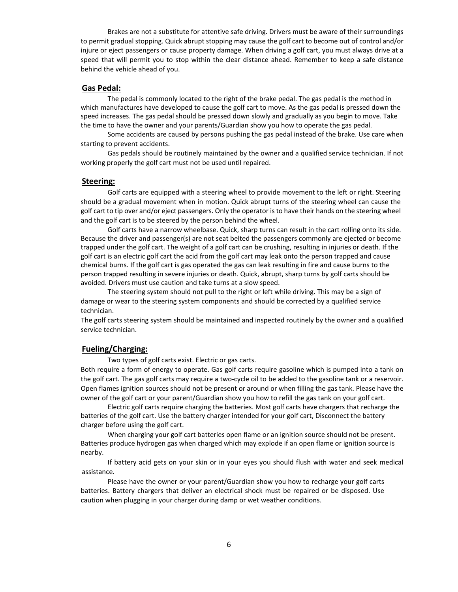Brakes are not a substitute for attentive safe driving. Drivers must be aware of their surroundings to permit gradual stopping. Quick abrupt stopping may cause the golf cart to become out of control and/or injure or eject passengers or cause property damage. When driving a golf cart, you must always drive at a speed that will permit you to stop within the clear distance ahead. Remember to keep a safe distance behind the vehicle ahead of you.

# **Gas Pedal:**

The pedal is commonly located to the right of the brake pedal. The gas pedal is the method in which manufactures have developed to cause the golf cart to move. As the gas pedal is pressed down the speed increases. The gas pedal should be pressed down slowly and gradually as you begin to move. Take the time to have the owner and your parents/Guardian show you how to operate the gas pedal.

Some accidents are caused by persons pushing the gas pedal instead of the brake. Use care when starting to prevent accidents.

Gas pedals should be routinely maintained by the owner and a qualified service technician. If not working properly the golf cart must not be used until repaired.

# **Steering:**

Golf carts are equipped with a steering wheel to provide movement to the left or right. Steering should be a gradual movement when in motion. Quick abrupt turns of the steering wheel can cause the golf cart to tip over and/or eject passengers. Only the operator is to have their hands on the steering wheel and the golf cart is to be steered by the person behind the wheel.

Golf carts have a narrow wheelbase. Quick, sharp turns can result in the cart rolling onto its side. Because the driver and passenger(s) are not seat belted the passengers commonly are ejected or become trapped under the golf cart. The weight of a golf cart can be crushing, resulting in injuries or death. If the golf cart is an electric golf cart the acid from the golf cart may leak onto the person trapped and cause chemical burns. If the golf cart is gas operated the gas can leak resulting in fire and cause burns to the person trapped resulting in severe injuries or death. Quick, abrupt, sharp turns by golf carts should be avoided. Drivers must use caution and take turns at a slow speed.

The steering system should not pull to the right or left while driving. This may be a sign of damage or wear to the steering system components and should be corrected by a qualified service technician.

The golf carts steering system should be maintained and inspected routinely by the owner and a qualified service technician.

# **Fueling/Charging:**

Two types of golf carts exist. Electric or gas carts.

Both require a form of energy to operate. Gas golf carts require gasoline which is pumped into a tank on the golf cart. The gas golf carts may require a two-cycle oil to be added to the gasoline tank or a reservoir. Open flames ignition sources should not be present or around or when filling the gas tank. Please have the owner of the golf cart or your parent/Guardian show you how to refill the gas tank on your golf cart.

Electric golf carts require charging the batteries. Most golf carts have chargers that recharge the batteries of the golf cart. Use the battery charger intended for your golf cart, Disconnect the battery charger before using the golf cart.

When charging your golf cart batteries open flame or an ignition source should not be present. Batteries produce hydrogen gas when charged which may explode if an open flame or ignition source is nearby.

If battery acid gets on your skin or in your eyes you should flush with water and seek medical assistance.

Please have the owner or your parent/Guardian show you how to recharge your golf carts batteries. Battery chargers that deliver an electrical shock must be repaired or be disposed. Use caution when plugging in your charger during damp or wet weather conditions.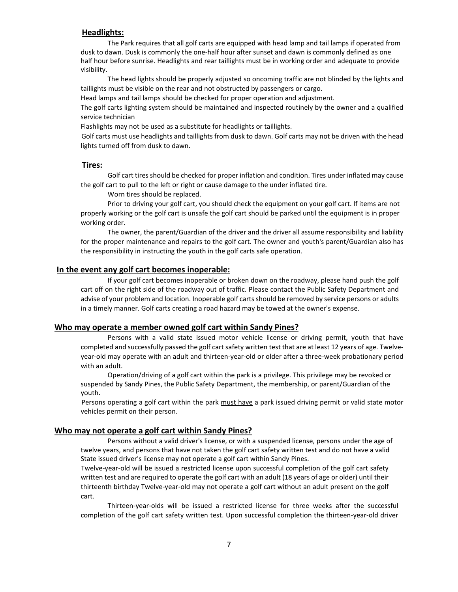# **Headlights:**

The Park requires that all golf carts are equipped with head lamp and tail lamps if operated from dusk to dawn. Dusk is commonly the one-half hour after sunset and dawn is commonly defined as one half hour before sunrise. Headlights and rear taillights must be in working order and adequate to provide visibility.

The head lights should be properly adjusted so oncoming traffic are not blinded by the lights and taillights must be visible on the rear and not obstructed by passengers or cargo.

Head lamps and tail lamps should be checked for proper operation and adjustment.

The golf carts lighting system should be maintained and inspected routinely by the owner and a qualified service technician

Flashlights may not be used as a substitute for headlights or taillights.

Golf carts must use headlights and taillights from dusk to dawn. Golf carts may not be driven with the head lights turned off from dusk to dawn.

# **Tires:**

Golf cart tires should be checked for proper inflation and condition. Tires under inflated may cause the golf cart to pull to the left or right or cause damage to the under inflated tire.

Worn tires should be replaced.

Prior to driving your golf cart, you should check the equipment on your golf cart. If items are not properly working or the golf cart is unsafe the golf cart should be parked until the equipment is in proper working order.

The owner, the parent/Guardian of the driver and the driver all assume responsibility and liability for the proper maintenance and repairs to the golf cart. The owner and youth's parent/Guardian also has the responsibility in instructing the youth in the golf carts safe operation.

#### **In the event any golf cart becomes inoperable:**

If your golf cart becomes inoperable or broken down on the roadway, please hand push the golf cart off on the right side of the roadway out of traffic. Please contact the Public Safety Department and advise of your problem and location. Inoperable golf carts should be removed by service persons or adults in a timely manner. Golf carts creating a road hazard may be towed at the owner's expense.

#### **Who may operate a member owned golf cart within Sandy Pines?**

Persons with a valid state issued motor vehicle license or driving permit, youth that have completed and successfully passed the golf cart safety written test that are at least 12 years of age. Twelveyear-old may operate with an adult and thirteen-year-old or older after a three-week probationary period with an adult.

Operation/driving of a golf cart within the park is a privilege. This privilege may be revoked or suspended by Sandy Pines, the Public Safety Department, the membership, or parent/Guardian of the youth.

Persons operating a golf cart within the park must have a park issued driving permit or valid state motor vehicles permit on their person.

# **Who may not operate a golf cart within Sandy Pines?**

Persons without a valid driver's license, or with a suspended license, persons under the age of twelve years, and persons that have not taken the golf cart safety written test and do not have a valid State issued driver's license may not operate a golf cart within Sandy Pines.

Twelve-year-old will be issued a restricted license upon successful completion of the golf cart safety written test and are required to operate the golf cart with an adult (18 years of age or older) until their thirteenth birthday Twelve-year-old may not operate a golf cart without an adult present on the golf cart.

Thirteen-year-olds will be issued a restricted license for three weeks after the successful completion of the golf cart safety written test. Upon successful completion the thirteen-year-old driver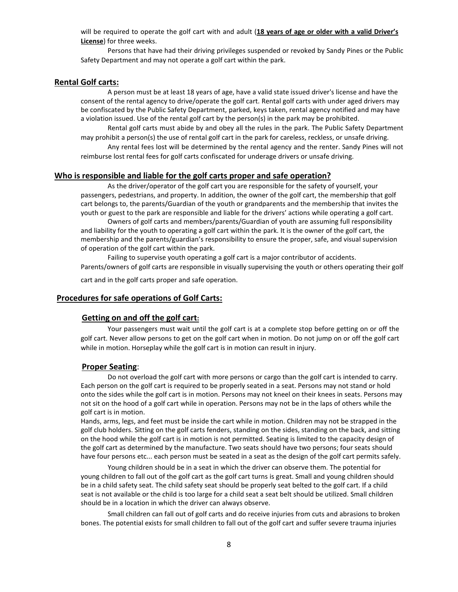will be required to operate the golf cart with and adult (**18 years of age or older with a valid Driver's License**) for three weeks.

Persons that have had their driving privileges suspended or revoked by Sandy Pines or the Public Safety Department and may not operate a golf cart within the park.

# **Rental Golf carts:**

A person must be at least 18 years of age, have a valid state issued driver's license and have the consent of the rental agency to drive/operate the golf cart. Rental golf carts with under aged drivers may be confiscated by the Public Safety Department, parked, keys taken, rental agency notified and may have a violation issued. Use of the rental golf cart by the person(s) in the park may be prohibited.

Rental golf carts must abide by and obey all the rules in the park. The Public Safety Department may prohibit a person(s) the use of rental golf cart in the park for careless, reckless, or unsafe driving.

Any rental fees lost will be determined by the rental agency and the renter. Sandy Pines will not reimburse lost rental fees for golf carts confiscated for underage drivers or unsafe driving.

# **Who is responsible and liable for the golf carts proper and safe operation?**

As the driver/operator of the golf cart you are responsible for the safety of yourself, your passengers, pedestrians, and property. In addition, the owner of the golf cart, the membership that golf cart belongs to, the parents/Guardian of the youth or grandparents and the membership that invites the youth or guest to the park are responsible and liable for the drivers' actions while operating a golf cart.

Owners of golf carts and members/parents/Guardian of youth are assuming full responsibility and liability for the youth to operating a golf cart within the park. It is the owner of the golf cart, the membership and the parents/guardian's responsibility to ensure the proper, safe, and visual supervision of operation of the golf cart within the park.

Failing to supervise youth operating a golf cart is a major contributor of accidents. Parents/owners of golf carts are responsible in visually supervising the youth or others operating their golf cart and in the golf carts proper and safe operation.

#### **Procedures for safe operations of Golf Carts:**

### **Getting on and off the golf cart:**

Your passengers must wait until the golf cart is at a complete stop before getting on or off the golf cart. Never allow persons to get on the golf cart when in motion. Do not jump on or off the golf cart while in motion. Horseplay while the golf cart is in motion can result in injury.

### **Proper Seating**:

Do not overload the golf cart with more persons or cargo than the golf cart is intended to carry. Each person on the golf cart is required to be properly seated in a seat. Persons may not stand or hold onto the sides while the golf cart is in motion. Persons may not kneel on their knees in seats. Persons may not sit on the hood of a golf cart while in operation. Persons may not be in the laps of others while the golf cart is in motion.

Hands, arms, legs, and feet must be inside the cart while in motion. Children may not be strapped in the golf club holders. Sitting on the golf carts fenders, standing on the sides, standing on the back, and sitting on the hood while the golf cart is in motion is not permitted. Seating is limited to the capacity design of the golf cart as determined by the manufacture. Two seats should have two persons; four seats should have four persons etc... each person must be seated in a seat as the design of the golf cart permits safely.

Young children should be in a seat in which the driver can observe them. The potential for young children to fall out of the golf cart as the golf cart turns is great. Small and young children should be in a child safety seat. The child safety seat should be properly seat belted to the golf cart. If a child seat is not available or the child is too large for a child seat a seat belt should be utilized. Small children should be in a location in which the driver can always observe.

Small children can fall out of golf carts and do receive injuries from cuts and abrasions to broken bones. The potential exists for small children to fall out of the golf cart and suffer severe trauma injuries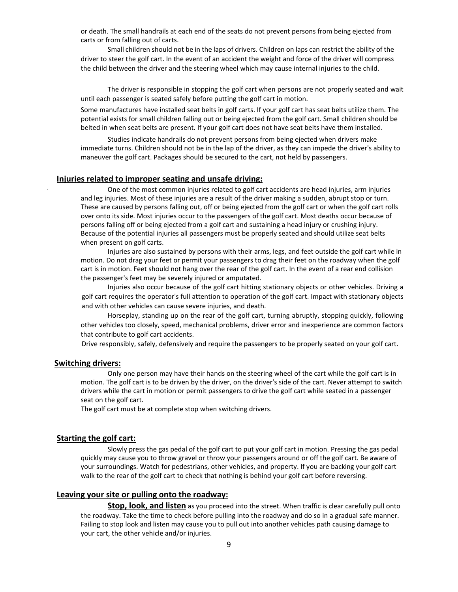or death. The small handrails at each end of the seats do not prevent persons from being ejected from carts or from falling out of carts.

Small children should not be in the laps of drivers. Children on laps can restrict the ability of the driver to steer the golf cart. In the event of an accident the weight and force of the driver will compress the child between the driver and the steering wheel which may cause internal injuries to the child.

The driver is responsible in stopping the golf cart when persons are not properly seated and wait until each passenger is seated safely before putting the golf cart in motion.

Some manufactures have installed seat belts in golf carts. If your golf cart has seat belts utilize them. The potential exists for small children falling out or being ejected from the golf cart. Small children should be belted in when seat belts are present. If your golf cart does not have seat belts have them installed.

Studies indicate handrails do not prevent persons from being ejected when drivers make immediate turns. Children should not be in the lap of the driver, as they can impede the driver's ability to maneuver the golf cart. Packages should be secured to the cart, not held by passengers.

### **Injuries related to improper seating and unsafe driving:**

One of the most common injuries related to golf cart accidents are head injuries, arm injuries and leg injuries. Most of these injuries are a result of the driver making a sudden, abrupt stop or turn. These are caused by persons falling out, off or being ejected from the golf cart or when the golf cart rolls over onto its side. Most injuries occur to the passengers of the golf cart. Most deaths occur because of persons falling off or being ejected from a golf cart and sustaining a head injury or crushing injury. Because of the potential injuries all passengers must be properly seated and should utilize seat belts when present on golf carts.

Injuries are also sustained by persons with their arms, legs, and feet outside the golf cart while in motion. Do not drag your feet or permit your passengers to drag their feet on the roadway when the golf cart is in motion. Feet should not hang over the rear of the golf cart. In the event of a rear end collision the passenger's feet may be severely injured or amputated.

Injuries also occur because of the golf cart hitting stationary objects or other vehicles. Driving a golf cart requires the operator's full attention to operation of the golf cart. Impact with stationary objects and with other vehicles can cause severe injuries, and death.

Horseplay, standing up on the rear of the golf cart, turning abruptly, stopping quickly, following other vehicles too closely, speed, mechanical problems, driver error and inexperience are common factors that contribute to golf cart accidents.

Drive responsibly, safely, defensively and require the passengers to be properly seated on your golf cart.

#### **Switching drivers:**

Only one person may have their hands on the steering wheel of the cart while the golf cart is in motion. The golf cart is to be driven by the driver, on the driver's side of the cart. Never attempt to switch drivers while the cart in motion or permit passengers to drive the golf cart while seated in a passenger seat on the golf cart.

The golf cart must be at complete stop when switching drivers.

### **Starting the golf cart:**

Slowly press the gas pedal of the golf cart to put your golf cart in motion. Pressing the gas pedal quickly may cause you to throw gravel or throw your passengers around or off the golf cart. Be aware of your surroundings. Watch for pedestrians, other vehicles, and property. If you are backing your golf cart walk to the rear of the golf cart to check that nothing is behind your golf cart before reversing.

# **Leaving your site or pulling onto the roadway:**

**Stop, look, and listen** as you proceed into the street. When traffic is clear carefully pull onto the roadway. Take the time to check before pulling into the roadway and do so in a gradual safe manner. Failing to stop look and listen may cause you to pull out into another vehicles path causing damage to your cart, the other vehicle and/or injuries.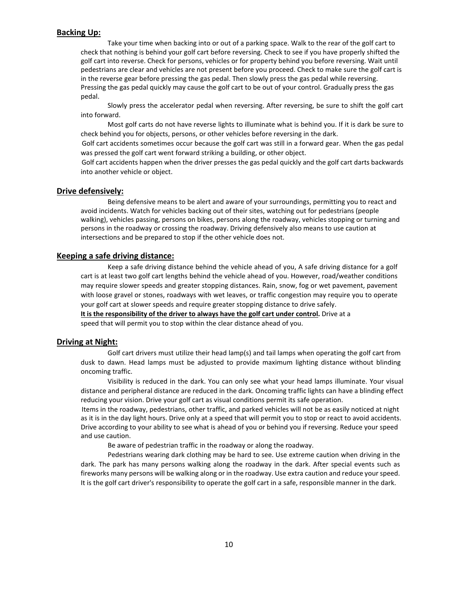# **Backing Up:**

Take your time when backing into or out of a parking space. Walk to the rear of the golf cart to check that nothing is behind your golf cart before reversing. Check to see if you have properly shifted the golf cart into reverse. Check for persons, vehicles or for property behind you before reversing. Wait until pedestrians are clear and vehicles are not present before you proceed. Check to make sure the golf cart is in the reverse gear before pressing the gas pedal. Then slowly press the gas pedal while reversing. Pressing the gas pedal quickly may cause the golf cart to be out of your control. Gradually press the gas pedal.

Slowly press the accelerator pedal when reversing. After reversing, be sure to shift the golf cart into forward.

Most golf carts do not have reverse lights to illuminate what is behind you. If it is dark be sure to check behind you for objects, persons, or other vehicles before reversing in the dark.

Golf cart accidents sometimes occur because the golf cart was still in a forward gear. When the gas pedal was pressed the golf cart went forward striking a building, or other object.

Golf cart accidents happen when the driver presses the gas pedal quickly and the golf cart darts backwards into another vehicle or object.

### **Drive defensively:**

Being defensive means to be alert and aware of your surroundings, permitting you to react and avoid incidents. Watch for vehicles backing out of their sites, watching out for pedestrians (people walking), vehicles passing, persons on bikes, persons along the roadway, vehicles stopping or turning and persons in the roadway or crossing the roadway. Driving defensively also means to use caution at intersections and be prepared to stop if the other vehicle does not.

### **Keeping a safe driving distance:**

Keep a safe driving distance behind the vehicle ahead of you, A safe driving distance for a golf cart is at least two golf cart lengths behind the vehicle ahead of you. However, road/weather conditions may require slower speeds and greater stopping distances. Rain, snow, fog or wet pavement, pavement with loose gravel or stones, roadways with wet leaves, or traffic congestion may require you to operate your golf cart at slower speeds and require greater stopping distance to drive safely.

**It is the responsibility of the driver to always have the golf cart under control.** Drive at a speed that will permit you to stop within the clear distance ahead of you.

### **Driving at Night:**

Golf cart drivers must utilize their head lamp(s) and tail lamps when operating the golf cart from dusk to dawn. Head lamps must be adjusted to provide maximum lighting distance without blinding oncoming traffic.

Visibility is reduced in the dark. You can only see what your head lamps illuminate. Your visual distance and peripheral distance are reduced in the dark. Oncoming traffic lights can have a blinding effect reducing your vision. Drive your golf cart as visual conditions permit its safe operation.

Items in the roadway, pedestrians, other traffic, and parked vehicles will not be as easily noticed at night as it is in the day light hours. Drive only at a speed that will permit you to stop or react to avoid accidents. Drive according to your ability to see what is ahead of you or behind you if reversing. Reduce your speed and use caution.

Be aware of pedestrian traffic in the roadway or along the roadway.

Pedestrians wearing dark clothing may be hard to see. Use extreme caution when driving in the dark. The park has many persons walking along the roadway in the dark. After special events such as fireworks many persons will be walking along or in the roadway. Use extra caution and reduce your speed. It is the golf cart driver's responsibility to operate the golf cart in a safe, responsible manner in the dark.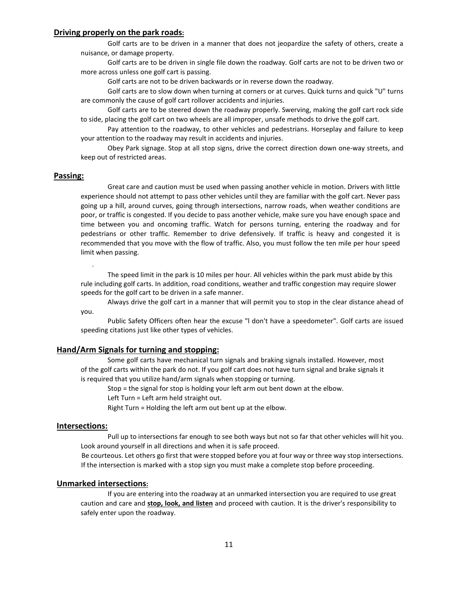# **Driving properly on the park roads:**

Golf carts are to be driven in a manner that does not jeopardize the safety of others, create a nuisance, or damage property.

Golf carts are to be driven in single file down the roadway. Golf carts are not to be driven two or more across unless one golf cart is passing.

Golf carts are not to be driven backwards or in reverse down the roadway.

Golf carts are to slow down when turning at corners or at curves. Quick turns and quick "U" turns are commonly the cause of golf cart rollover accidents and injuries.

Golf carts are to be steered down the roadway properly. Swerving, making the golf cart rock side to side, placing the golf cart on two wheels are all improper, unsafe methods to drive the golf cart.

Pay attention to the roadway, to other vehicles and pedestrians. Horseplay and failure to keep your attention to the roadway may result in accidents and injuries.

Obey Park signage. Stop at all stop signs, drive the correct direction down one-way streets, and keep out of restricted areas.

# **Passing:**

Great care and caution must be used when passing another vehicle in motion. Drivers with little experience should not attempt to pass other vehicles until they are familiar with the golf cart. Never pass going up a hill, around curves, going through intersections, narrow roads, when weather conditions are poor, or traffic is congested. If you decide to pass another vehicle, make sure you have enough space and time between you and oncoming traffic. Watch for persons turning, entering the roadway and for pedestrians or other traffic. Remember to drive defensively. If traffic is heavy and congested it is recommended that you move with the flow of traffic. Also, you must follow the ten mile per hour speed limit when passing.

The speed limit in the park is 10 miles per hour. All vehicles within the park must abide by this rule including golf carts. In addition, road conditions, weather and traffic congestion may require slower speeds for the golf cart to be driven in a safe manner.

Always drive the golf cart in a manner that will permit you to stop in the clear distance ahead of you.

Public Safety Officers often hear the excuse "l don't have a speedometer". Golf carts are issued speeding citations just like other types of vehicles.

### **Hand/Arm Signals for turning and stopping:**

Some golf carts have mechanical turn signals and braking signals installed. However, most of the golf carts within the park do not. If you golf cart does not have turn signal and brake signals it is required that you utilize hand/arm signals when stopping or turning.

Stop = the signal for stop is holding your left arm out bent down at the elbow.

Left Turn = Left arm held straight out.

Right Turn = Holding the left arm out bent up at the elbow.

#### **Intersections:**

Pull up to intersections far enough to see both ways but not so far that other vehicles will hit you. Look around yourself in all directions and when it is safe proceed.

Be courteous. Let others go first that were stopped before you at four way or three way stop intersections. If the intersection is marked with a stop sign you must make a complete stop before proceeding.

#### **Unmarked intersections:**

If you are entering into the roadway at an unmarked intersection you are required to use great caution and care and **stop, look, and listen** and proceed with caution. It is the driver's responsibility to safely enter upon the roadway.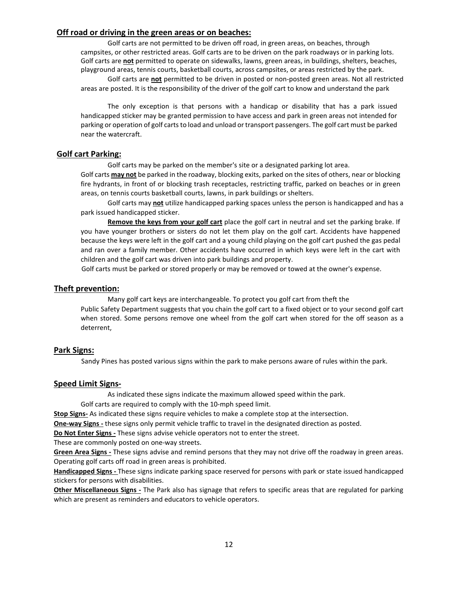# **Off road or driving in the green areas or on beaches:**

Golf carts are not permitted to be driven off road, in green areas, on beaches, through campsites, or other restricted areas. Golf carts are to be driven on the park roadways or in parking lots. Golf carts are **not** permitted to operate on sidewalks, lawns, green areas, in buildings, shelters, beaches, playground areas, tennis courts, basketball courts, across campsites, or areas restricted by the park.

Golf carts are **not** permitted to be driven in posted or non-posted green areas. Not all restricted areas are posted. It is the responsibility of the driver of the golf cart to know and understand the park

The only exception is that persons with a handicap or disability that has a park issued handicapped sticker may be granted permission to have access and park in green areas not intended for parking or operation of golf carts to load and unload or transport passengers. The golf cart must be parked near the watercraft.

# **Golf cart Parking:**

Golf carts may be parked on the member's site or a designated parking lot area.

Golf carts **may not** be parked in the roadway, blocking exits, parked on the sites of others, near or blocking fire hydrants, in front of or blocking trash receptacles, restricting traffic, parked on beaches or in green areas, on tennis courts basketball courts, lawns, in park buildings or shelters.

Golf carts may **not** utilize handicapped parking spaces unless the person is handicapped and has a park issued handicapped sticker.

**Remove the keys from your golf cart** place the golf cart in neutral and set the parking brake. If you have younger brothers or sisters do not let them play on the golf cart. Accidents have happened because the keys were left in the golf cart and a young child playing on the golf cart pushed the gas pedal and ran over a family member. Other accidents have occurred in which keys were left in the cart with children and the golf cart was driven into park buildings and property.

Golf carts must be parked or stored properly or may be removed or towed at the owner's expense.

# **Theft prevention:**

Many golf cart keys are interchangeable. To protect you golf cart from theft the Public Safety Department suggests that you chain the golf cart to a fixed object or to your second golf cart when stored. Some persons remove one wheel from the golf cart when stored for the off season as a deterrent,

# **Park Signs:**

Sandy Pines has posted various signs within the park to make persons aware of rules within the park.

# **Speed Limit Signs-**

As indicated these signs indicate the maximum allowed speed within the park.

Golf carts are required to comply with the 10-mph speed limit.

**Stop Signs-** As indicated these signs require vehicles to make a complete stop at the intersection.

**One-way Signs -** these signs only permit vehicle traffic to travel in the designated direction as posted.

**Do Not Enter Signs -** These signs advise vehicle operators not to enter the street.

These are commonly posted on one-way streets.

**Green Area Signs -** These signs advise and remind persons that they may not drive off the roadway in green areas. Operating golf carts off road in green areas is prohibited.

**Handicapped Signs -** These signs indicate parking space reserved for persons with park or state issued handicapped stickers for persons with disabilities.

**Other Miscellaneous Signs -** The Park also has signage that refers to specific areas that are regulated for parking which are present as reminders and educators to vehicle operators.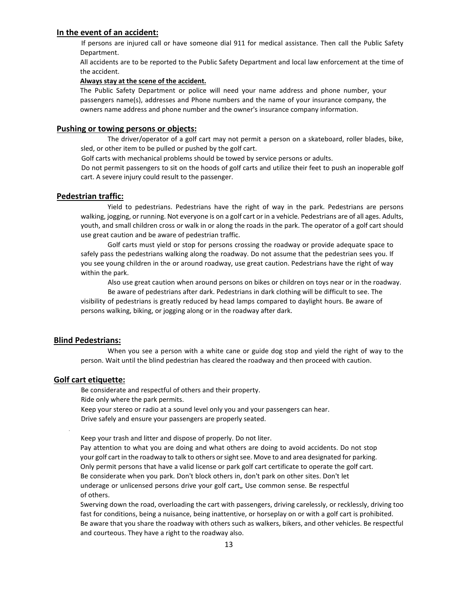# **In the event of an accident:**

If persons are injured call or have someone dial 911 for medical assistance. Then call the Public Safety Department.

All accidents are to be reported to the Public Safety Department and local law enforcement at the time of the accident.

#### **Always stay at the scene of the accident.**

The Public Safety Department or police will need your name address and phone number, your passengers name(s), addresses and Phone numbers and the name of your insurance company, the owners name address and phone number and the owner's insurance company information.

### **Pushing or towing persons or objects:**

The driver/operator of a golf cart may not permit a person on a skateboard, roller blades, bike, sled, or other item to be pulled or pushed by the golf cart.

Golf carts with mechanical problems should be towed by service persons or adults.

Do not permit passengers to sit on the hoods of golf carts and utilize their feet to push an inoperable golf cart. A severe injury could result to the passenger.

#### **Pedestrian traffic:**

Yield to pedestrians. Pedestrians have the right of way in the park. Pedestrians are persons walking, jogging, or running. Not everyone is on a golf cart or in a vehicle. Pedestrians are of all ages. Adults, youth, and small children cross or walk in or along the roads in the park. The operator of a golf cart should use great caution and be aware of pedestrian traffic.

Golf carts must yield or stop for persons crossing the roadway or provide adequate space to safely pass the pedestrians walking along the roadway. Do not assume that the pedestrian sees you. If you see young children in the or around roadway, use great caution. Pedestrians have the right of way within the park.

Also use great caution when around persons on bikes or children on toys near or in the roadway. Be aware of pedestrians after dark. Pedestrians in dark clothing will be difficult to see. The visibility of pedestrians is greatly reduced by head lamps compared to daylight hours. Be aware of persons walking, biking, or jogging along or in the roadway after dark.

### **Blind Pedestrians:**

When you see a person with a white cane or guide dog stop and yield the right of way to the person. Wait until the blind pedestrian has cleared the roadway and then proceed with caution.

# **Golf cart etiquette:**

Be considerate and respectful of others and their property. Ride only where the park permits.

Keep your stereo or radio at a sound level only you and your passengers can hear.

Drive safely and ensure your passengers are properly seated.

Keep your trash and litter and dispose of properly. Do not liter.

Pay attention to what you are doing and what others are doing to avoid accidents. Do not stop your golf cart in the roadway to talk to others or sight see. Move to and area designated for parking. Only permit persons that have a valid license or park golf cart certificate to operate the golf cart. Be considerate when you park. Don't block others in, don't park on other sites. Don't let underage or unlicensed persons drive your golf cart,, Use common sense. Be respectful of others.

Swerving down the road, overloading the cart with passengers, driving carelessly, or recklessly, driving too fast for conditions, being a nuisance, being inattentive, or horseplay on or with a golf cart is prohibited. Be aware that you share the roadway with others such as walkers, bikers, and other vehicles. Be respectful and courteous. They have a right to the roadway also.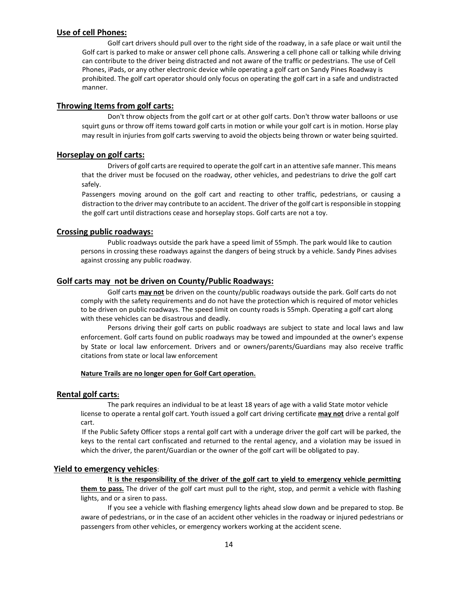# **Use of cell Phones:**

Golf cart drivers should pull over to the right side of the roadway, in a safe place or wait until the Golf cart is parked to make or answer cell phone calls. Answering a cell phone call or talking while driving can contribute to the driver being distracted and not aware of the traffic or pedestrians. The use of Cell Phones, iPads, or any other electronic device while operating a golf cart on Sandy Pines Roadway is prohibited. The golf cart operator should only focus on operating the golf cart in a safe and undistracted manner.

# **Throwing Items from golf carts:**

Don't throw objects from the golf cart or at other golf carts. Don't throw water balloons or use squirt guns or throw off items toward golf carts in motion or while your golf cart is in motion. Horse play may result in injuries from golf carts swerving to avoid the objects being thrown or water being squirted.

### **Horseplay on golf carts:**

Drivers of golf carts are required to operate the golf cart in an attentive safe manner. This means that the driver must be focused on the roadway, other vehicles, and pedestrians to drive the golf cart safely.

Passengers moving around on the golf cart and reacting to other traffic, pedestrians, or causing a distraction to the driver may contribute to an accident. The driver of the golf cart is responsible in stopping the golf cart until distractions cease and horseplay stops. Golf carts are not a toy.

#### **Crossing public roadways:**

Public roadways outside the park have a speed limit of 55mph. The park would like to caution persons in crossing these roadways against the dangers of being struck by a vehicle. Sandy Pines advises against crossing any public roadway.

# **Golf carts may not be driven on County/Public Roadways:**

Golf carts **may not** be driven on the county/public roadways outside the park. Golf carts do not comply with the safety requirements and do not have the protection which is required of motor vehicles to be driven on public roadways. The speed limit on county roads is 55mph. Operating a golf cart along with these vehicles can be disastrous and deadly.

Persons driving their golf carts on public roadways are subject to state and local laws and law enforcement. Golf carts found on public roadways may be towed and impounded at the owner's expense by State or local law enforcement. Drivers and or owners/parents/Guardians may also receive traffic citations from state or local law enforcement

### **Nature Trails are no longer open for Golf Cart operation.**

### **Rental golf carts:**

The park requires an individual to be at least 18 years of age with a valid State motor vehicle license to operate a rental golf cart. Youth issued a golf cart driving certificate **may not** drive a rental golf cart.

If the Public Safety Officer stops a rental golf cart with a underage driver the golf cart will be parked, the keys to the rental cart confiscated and returned to the rental agency, and a violation may be issued in which the driver, the parent/Guardian or the owner of the golf cart will be obligated to pay.

# **Yield to emergency vehicles**:

**It is the responsibility of the driver of the golf cart to yield to emergency vehicle permitting them to pass.** The driver of the golf cart must pull to the right, stop, and permit a vehicle with flashing lights, and or a siren to pass.

If you see a vehicle with flashing emergency lights ahead slow down and be prepared to stop. Be aware of pedestrians, or in the case of an accident other vehicles in the roadway or injured pedestrians or passengers from other vehicles, or emergency workers working at the accident scene.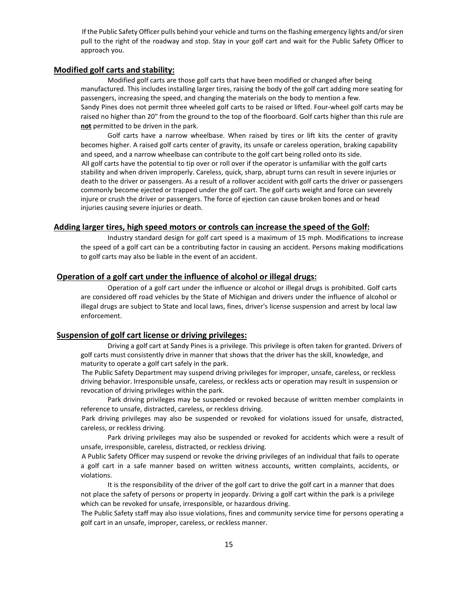If the Public Safety Officer pulls behind your vehicle and turns on the flashing emergency lights and/or siren pull to the right of the roadway and stop. Stay in your golf cart and wait for the Public Safety Officer to approach you.

# **Modified golf carts and stability:**

Modified golf carts are those golf carts that have been modified or changed after being manufactured. This includes installing larger tires, raising the body of the golf cart adding more seating for passengers, increasing the speed, and changing the materials on the body to mention a few. Sandy Pines does not permit three wheeled golf carts to be raised or lifted. Four-wheel golf carts may be raised no higher than 20" from the ground to the top of the floorboard. Golf carts higher than this rule are **not** permitted to be driven in the park.

Golf carts have a narrow wheelbase. When raised by tires or lift kits the center of gravity becomes higher. A raised golf carts center of gravity, its unsafe or careless operation, braking capability and speed, and a narrow wheelbase can contribute to the golf cart being rolled onto its side. All golf carts have the potential to tip over or roll over if the operator is unfamiliar with the golf carts stability and when driven improperly. Careless, quick, sharp, abrupt turns can result in severe injuries or death to the driver or passengers. As a result of a rollover accident with golf carts the driver or passengers commonly become ejected or trapped under the golf cart. The golf carts weight and force can severely injure or crush the driver or passengers. The force of ejection can cause broken bones and or head injuries causing severe injuries or death.

### **Adding larger tires, high speed motors or controls can increase the speed of the Golf:**

Industry standard design for golf cart speed is a maximum of 15 mph. Modifications to increase the speed of a golf cart can be a contributing factor in causing an accident. Persons making modifications to golf carts may also be liable in the event of an accident.

# **Operation of a golf cart under the influence of alcohol or illegal drugs:**

Operation of a golf cart under the influence or alcohol or illegal drugs is prohibited. Golf carts are considered off road vehicles by the State of Michigan and drivers under the influence of alcohol or illegal drugs are subject to State and local laws, fines, driver's license suspension and arrest by local law enforcement.

### **Suspension of golf cart license or driving privileges:**

Driving a golf cart at Sandy Pines is a privilege. This privilege is often taken for granted. Drivers of golf carts must consistently drive in manner that shows that the driver has the skill, knowledge, and maturity to operate a golf cart safely in the park.

The Public Safety Department may suspend driving privileges for improper, unsafe, careless, or reckless driving behavior. Irresponsible unsafe, careless, or reckless acts or operation may result in suspension or revocation of driving privileges within the park.

Park driving privileges may be suspended or revoked because of written member complaints in reference to unsafe, distracted, careless, or reckless driving.

Park driving privileges may also be suspended or revoked for violations issued for unsafe, distracted, careless, or reckless driving.

Park driving privileges may also be suspended or revoked for accidents which were a result of unsafe, irresponsible, careless, distracted, or reckless driving.

A Public Safety Officer may suspend or revoke the driving privileges of an individual that fails to operate a golf cart in a safe manner based on written witness accounts, written complaints, accidents, or violations.

It is the responsibility of the driver of the golf cart to drive the golf cart in a manner that does not place the safety of persons or property in jeopardy. Driving a golf cart within the park is a privilege which can be revoked for unsafe, irresponsible, or hazardous driving.

The Public Safety staff may also issue violations, fines and community service time for persons operating a golf cart in an unsafe, improper, careless, or reckless manner.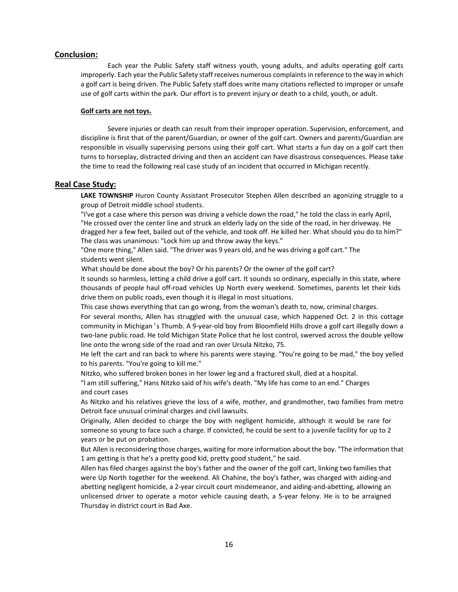# **Conclusion:**

Each year the Public Safety staff witness youth, young adults, and adults operating golf carts improperly. Each year the Public Safety staff receives numerous complaints in reference to the way in which a golf cart is being driven. The Public Safety staff does write many citations reflected to improper or unsafe use of golf carts within the park. Our effort is to prevent injury or death to a child, youth, or adult.

#### **Golf carts are not toys.**

Severe injuries or death can result from their improper operation. Supervision, enforcement, and discipline is first that of the parent/Guardian, or owner of the golf cart. Owners and parents/Guardian are responsible in visually supervising persons using their golf cart. What starts a fun day on a golf cart then turns to horseplay, distracted driving and then an accident can have disastrous consequences. Please take the time to read the following real case study of an incident that occurred in Michigan recently.

### **Real Case Study:**

**LAKE TOWNSHIP** Huron County Assistant Prosecutor Stephen Allen described an agonizing struggle to a group of Detroit middle school students.

"I've got a case where this person was driving a vehicle down the road," he told the class in early April, "He crossed over the center line and struck an elderly lady on the side of the road, in her driveway. He dragged her a few feet, bailed out of the vehicle, and took off. He killed her. What should you do to him?" The class was unanimous: "Lock him up and throw away the keys."

"One more thing," Allen said. "The driver was 9 years old, and he was driving a golf cart." The students went silent.

What should be done about the boy? Or his parents? Or the owner of the golf cart?

It sounds so harmless, letting a child drive a golf cart. It sounds so ordinary, especially in this state, where thousands of people haul off-road vehicles Up North every weekend. Sometimes, parents let their kids drive them on public roads, even though it is illegal in most situations.

This case shows everything that can go wrong, from the woman's death to, now, criminal charges.

For several months, Allen has struggled with the unusual case, which happened Oct. 2 in this cottage community in Michigan <sup>1</sup>s Thumb. A 9-year-old boy from Bloomfield Hills drove a golf cart illegally down a two-lane public road. He told Michigan State Police that he lost control, swerved across the double yellow line onto the wrong side of the road and ran over Ursula Nitzko, 75.

He left the cart and ran back to where his parents were staying. "You're going to be mad," the boy yelled to his parents. "You're going to kill me."

Nitzko, who suffered broken bones in her lower leg and a fractured skull, died at a hospital.

"l am still suffering," Hans Nitzko said of his wife's death. "My life has come to an end." Charges and court cases

As Nitzko and his relatives grieve the loss of a wife, mother, and grandmother, two families from metro Detroit face unusual criminal charges and civil lawsuits.

Originally, Allen decided to charge the boy with negligent homicide, although it would be rare for someone so young to face such a charge. If convicted, he could be sent to a juvenile facility for up to 2 years or be put on probation.

But Allen is reconsidering those charges, waiting for more information about the boy. "The information that 1 am getting is that he's a pretty good kid, pretty good student," he said.

Allen has filed charges against the boy's father and the owner of the golf cart, linking two families that were Up North together for the weekend. Ali Chahine, the boy's father, was charged with aiding-and abetting negligent homicide, a 2-year circuit court misdemeanor, and aiding-and-abetting, allowing an unlicensed driver to operate a motor vehicle causing death, a 5-year felony. He is to be arraigned Thursday in district court in Bad Axe.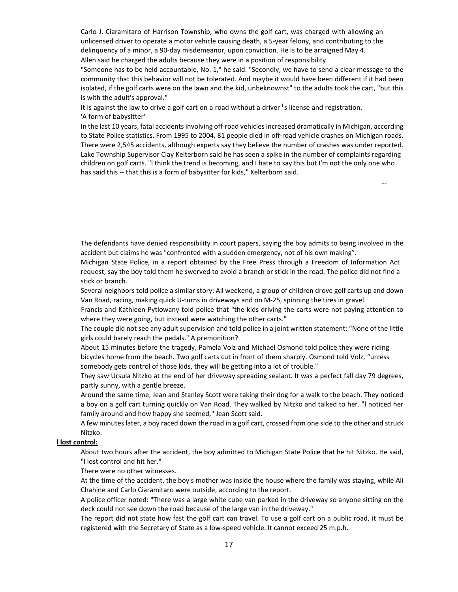Carlo J. Ciaramitaro of Harrison Township, who owns the golf cart, was charged with allowing an unlicensed driver to operate a motor vehicle causing death, a 5-year felony, and contributing to the delinquency of a minor, a 90-day misdemeanor, upon conviction. He is to be arraigned May 4. Allen said he charged the adults because they were in a position of responsibility.

"Someone has to be held accountable, No. 1," he said. "Secondly, we have to send a clear message to the community that this behavior will not be tolerated. And maybe it would have been different if it had been isolated, if the golf carts were on the lawn and the kid, unbeknownst" to the adults took the cart, "but this is with the adult's approval."

It is against the law to drive a golf cart on a road without a driver  $\frac{1}{s}$  license and registration. 'A form of babysitter'

In the last 10 years, fatal accidents involving off-road vehicles increased dramatically in Michigan, according to State Police statistics. From 1995 to 2004, 81 people died in off-road vehicle crashes on Michigan roads. There were 2,545 accidents, although experts say they believe the number of crashes was under reported. Lake Township Supervisor Clay Kelterborn said he has seen a spike in the number of complaints regarding children on golf carts. "l think the trend is becoming, and I hate to say this but I'm not the only one who has said this -- that this is a form of babysitter for kids," Kelterborn said.

The defendants have denied responsibility in court papers, saying the boy admits to being involved in the accident but claims he was "confronted with a sudden emergency, not of his own making".

Michigan State Police, in a report obtained by the Free Press through a Freedom of Information Act request, say the boy told them he swerved to avoid a branch or stick in the road. The police did not find a stick or branch.

Several neighbors told police a similar story: All weekend, a group of children drove golf carts up and down Van Road, racing, making quick U-turns in driveways and on M-25, spinning the tires in gravel.

Francis and Kathleen Pytlowany told police that "the kids driving the carts were not paying attention to where they were going, but instead were watching the other carts."

The couple did not see any adult supervision and told police in a joint written statement: "None of the little girls could barely reach the pedals." A premonition?

About 15 minutes before the tragedy, Pamela Volz and Michael Osmond told police they were riding bicycles home from the beach. Two golf carts cut in front of them sharply. Osmond told Volz, "unless somebody gets control of those kids, they will be getting into a lot of trouble."

They saw Ursula Nitzko at the end of her driveway spreading sealant. It was a perfect fall day 79 degrees, partly sunny, with a gentle breeze.

Around the same time, Jean and Stanley Scott were taking their dog for a walk to the beach. They noticed a boy on a golf cart turning quickly on Van Road. They walked by Nitzko and talked to her. "l noticed her family around and how happy she seemed," Jean Scott said.

A few minutes later, a boy raced down the road in a golf cart, crossed from one side to the other and struck Nitzko.

#### **l lost control:**

About two hours after the accident, the boy admitted to Michigan State Police that he hit Nitzko. He said, "l lost control and hit her."

There were no other witnesses.

At the time of the accident, the boy's mother was inside the house where the family was staying, while Ali Chahine and Carlo Ciaramitaro were outside, according to the report.

A police officer noted: "There was a large white cube van parked in the driveway so anyone sitting on the deck could not see down the road because of the large van in the driveway."

The report did not state how fast the golf cart can travel. To use a golf cart on a public road, it must be registered with the Secretary of State as a low-speed vehicle. It cannot exceed 25 m.p.h.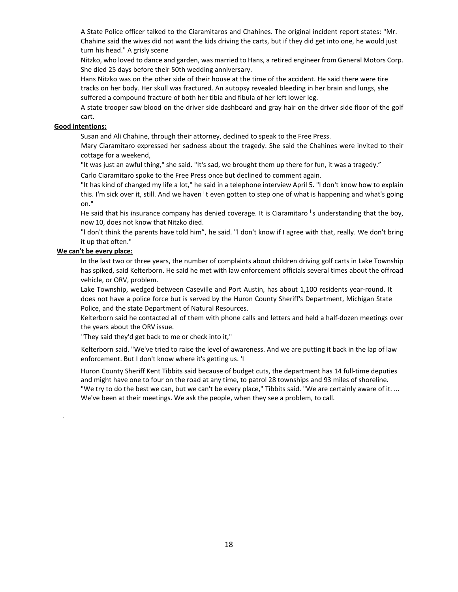A State Police officer talked to the Ciaramitaros and Chahines. The original incident report states: "Mr. Chahine said the wives did not want the kids driving the carts, but if they did get into one, he would just turn his head." A grisly scene

Nitzko, who loved to dance and garden, was married to Hans, a retired engineer from General Motors Corp. She died 25 days before their 50th wedding anniversary.

Hans Nitzko was on the other side of their house at the time of the accident. He said there were tire tracks on her body. Her skull was fractured. An autopsy revealed bleeding in her brain and lungs, she suffered a compound fracture of both her tibia and fibula of her left lower leg.

A state trooper saw blood on the driver side dashboard and gray hair on the driver side floor of the golf cart.

#### **Good intentions:**

Susan and Ali Chahine, through their attorney, declined to speak to the Free Press.

Mary Ciaramitaro expressed her sadness about the tragedy. She said the Chahines were invited to their cottage for a weekend,

"It was just an awful thing," she said. "It's sad, we brought them up there for fun, it was a tragedy."

Carlo Ciaramitaro spoke to the Free Press once but declined to comment again.

"It has kind of changed my life a lot," he said in a telephone interview April 5. "l don't know how to explain this. I'm sick over it, still. And we haven <sup>I</sup>t even gotten to step one of what is happening and what's going on."

He said that his insurance company has denied coverage. It is Ciaramitaro  $\overline{S}$  s understanding that the boy, now 10, does not know that Nitzko died.

"l don't think the parents have told him", he said. "l don't know if I agree with that, really. We don't bring it up that often."

### **We can't be every place:**

In the last two or three years, the number of complaints about children driving golf carts in Lake Township has spiked, said Kelterborn. He said he met with law enforcement officials several times about the offroad vehicle, or ORV, problem.

Lake Township, wedged between Caseville and Port Austin, has about 1,100 residents year-round. It does not have a police force but is served by the Huron County Sheriff's Department, Michigan State Police, and the state Department of Natural Resources.

Kelterborn said he contacted all of them with phone calls and letters and held a half-dozen meetings over the years about the ORV issue.

"They said they'd get back to me or check into it,"

Kelterborn said. "We've tried to raise the level of awareness. And we are putting it back in the lap of law enforcement. But I don't know where it's getting us. 'I

Huron County Sheriff Kent Tibbits said because of budget cuts, the department has 14 full-time deputies and might have one to four on the road at any time, to patrol 28 townships and 93 miles of shoreline. "We try to do the best we can, but we can't be every place," Tibbits said. "We are certainly aware of it. ... We've been at their meetings. We ask the people, when they see a problem, to call.